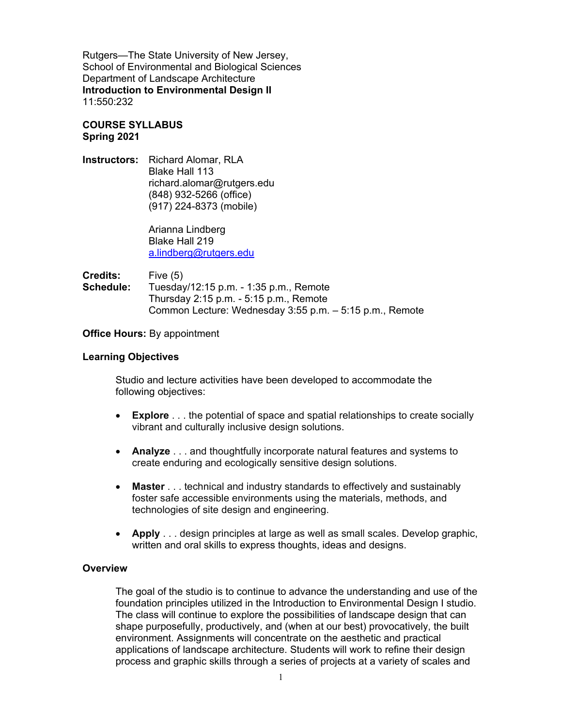Rutgers—The State University of New Jersey, School of Environmental and Biological Sciences Department of Landscape Architecture **Introduction to Environmental Design II** 11:550:232

# **COURSE SYLLABUS Spring 2021**

**Instructors:** Richard Alomar, RLA Blake Hall 113 [richard.alomar@rutgers.edu](mailto:richard.alomar@rutgers.edu) (848) 932-5266 (office) (917) 224-8373 (mobile)

> Arianna Lindberg Blake Hall 219 [a.lindberg@rutgers.edu](mailto:a.lindberg@rutgers.edu)

**Credits:** Five (5)<br>**Schedule:** Tuesday **Schedule:** Tuesday/12:15 p.m. - 1:35 p.m., Remote Thursday 2:15 p.m. - 5:15 p.m., Remote Common Lecture: Wednesday 3:55 p.m. – 5:15 p.m., Remote

## **Office Hours:** By appointment

## **Learning Objectives**

Studio and lecture activities have been developed to accommodate the following objectives:

- **Explore** . . . the potential of space and spatial relationships to create socially vibrant and culturally inclusive design solutions.
- **Analyze** . . . and thoughtfully incorporate natural features and systems to create enduring and ecologically sensitive design solutions.
- **Master** . . . technical and industry standards to effectively and sustainably foster safe accessible environments using the materials, methods, and technologies of site design and engineering.
- **Apply** . . . design principles at large as well as small scales. Develop graphic, written and oral skills to express thoughts, ideas and designs.

## **Overview**

The goal of the studio is to continue to advance the understanding and use of the foundation principles utilized in the Introduction to Environmental Design I studio. The class will continue to explore the possibilities of landscape design that can shape purposefully, productively, and (when at our best) provocatively, the built environment. Assignments will concentrate on the aesthetic and practical applications of landscape architecture. Students will work to refine their design process and graphic skills through a series of projects at a variety of scales and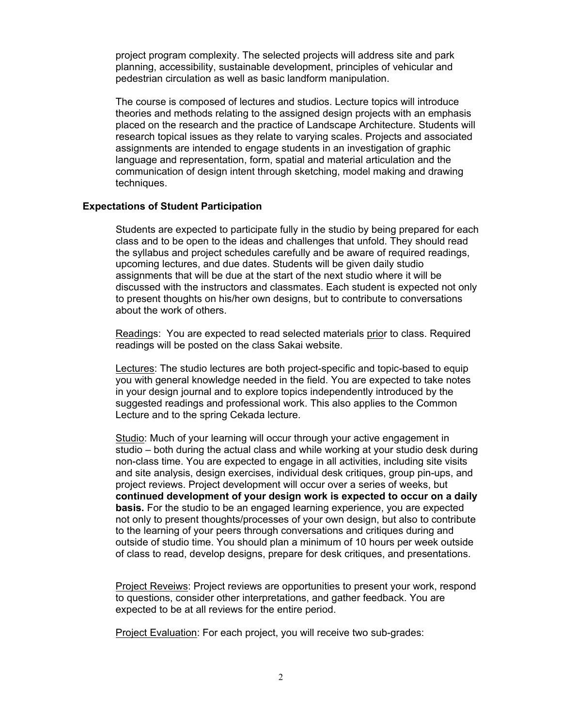project program complexity. The selected projects will address site and park planning, accessibility, sustainable development, principles of vehicular and pedestrian circulation as well as basic landform manipulation.

The course is composed of lectures and studios. Lecture topics will introduce theories and methods relating to the assigned design projects with an emphasis placed on the research and the practice of Landscape Architecture. Students will research topical issues as they relate to varying scales. Projects and associated assignments are intended to engage students in an investigation of graphic language and representation, form, spatial and material articulation and the communication of design intent through sketching, model making and drawing techniques.

## **Expectations of Student Participation**

Students are expected to participate fully in the studio by being prepared for each class and to be open to the ideas and challenges that unfold. They should read the syllabus and project schedules carefully and be aware of required readings, upcoming lectures, and due dates. Students will be given daily studio assignments that will be due at the start of the next studio where it will be discussed with the instructors and classmates. Each student is expected not only to present thoughts on his/her own designs, but to contribute to conversations about the work of others.

Readings: You are expected to read selected materials prior to class. Required readings will be posted on the class Sakai website.

Lectures: The studio lectures are both project-specific and topic-based to equip you with general knowledge needed in the field. You are expected to take notes in your design journal and to explore topics independently introduced by the suggested readings and professional work. This also applies to the Common Lecture and to the spring Cekada lecture.

Studio: Much of your learning will occur through your active engagement in studio – both during the actual class and while working at your studio desk during non-class time. You are expected to engage in all activities, including site visits and site analysis, design exercises, individual desk critiques, group pin-ups, and project reviews. Project development will occur over a series of weeks, but **continued development of your design work is expected to occur on a daily basis.** For the studio to be an engaged learning experience, you are expected not only to present thoughts/processes of your own design, but also to contribute to the learning of your peers through conversations and critiques during and outside of studio time. You should plan a minimum of 10 hours per week outside of class to read, develop designs, prepare for desk critiques, and presentations.

Project Reveiws: Project reviews are opportunities to present your work, respond to questions, consider other interpretations, and gather feedback. You are expected to be at all reviews for the entire period.

Project Evaluation: For each project, you will receive two sub-grades: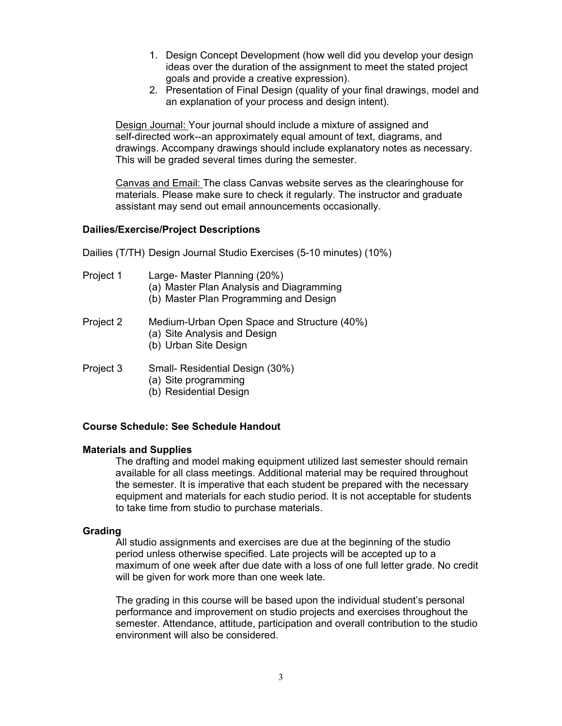- 1. Design Concept Development (how well did you develop your design ideas over the duration of the assignment to meet the stated project goals and provide a creative expression).
- 2. Presentation of Final Design (quality of your final drawings, model and an explanation of your process and design intent).

Design Journal: Your journal should include a mixture of assigned and self-directed work--an approximately equal amount of text, diagrams, and drawings. Accompany drawings should include explanatory notes as necessary. This will be graded several times during the semester.

Canvas and Email: The class Canvas website serves as the clearinghouse for materials. Please make sure to check it regularly. The instructor and graduate assistant may send out email announcements occasionally.

## **Dailies/Exercise/Project Descriptions**

Dailies (T/TH) Design Journal Studio Exercises (5-10 minutes) (10%)

- Project 1 Large- Master Planning (20%)
	- (a) Master Plan Analysis and Diagramming
	- (b) Master Plan Programming and Design
- Project 2 Medium-Urban Open Space and Structure (40%)
	- (a) Site Analysis and Design
	- (b) Urban Site Design
- Project 3 Small- Residential Design (30%)
	- (a) Site programming
	- (b) Residential Design

## **Course Schedule: See Schedule Handout**

#### **Materials and Supplies**

The drafting and model making equipment utilized last semester should remain available for all class meetings. Additional material may be required throughout the semester. It is imperative that each student be prepared with the necessary equipment and materials for each studio period. It is not acceptable for students to take time from studio to purchase materials.

## **Grading**

All studio assignments and exercises are due at the beginning of the studio period unless otherwise specified. Late projects will be accepted up to a maximum of one week after due date with a loss of one full letter grade. No credit will be given for work more than one week late.

The grading in this course will be based upon the individual student's personal performance and improvement on studio projects and exercises throughout the semester. Attendance, attitude, participation and overall contribution to the studio environment will also be considered.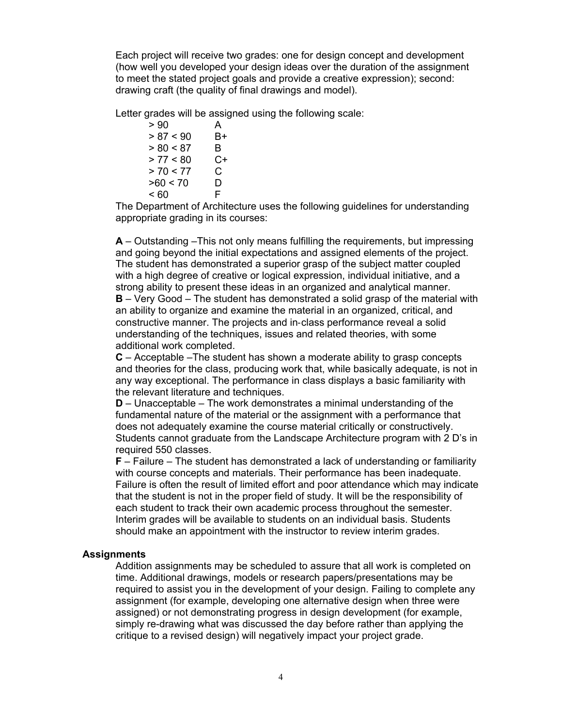Each project will receive two grades: one for design concept and development (how well you developed your design ideas over the duration of the assignment to meet the stated project goals and provide a creative expression); second: drawing craft (the quality of final drawings and model).

Letter grades will be assigned using the following scale:

 $> 90$  A  $> 87 < 90$  B+  $> 80 < 87$  B > 77 < 80 C+  $> 70 < 77$  C<br> $> 60 < 70$  D  $>60 < 70$  $<60$  F

The Department of Architecture uses the following guidelines for understanding appropriate grading in its courses:

**A** – Outstanding –This not only means fulfilling the requirements, but impressing and going beyond the initial expectations and assigned elements of the project. The student has demonstrated a superior grasp of the subject matter coupled with a high degree of creative or logical expression, individual initiative, and a strong ability to present these ideas in an organized and analytical manner. **B** – Very Good – The student has demonstrated a solid grasp of the material with an ability to organize and examine the material in an organized, critical, and constructive manner. The projects and in‐class performance reveal a solid understanding of the techniques, issues and related theories, with some additional work completed.

**C** – Acceptable –The student has shown a moderate ability to grasp concepts and theories for the class, producing work that, while basically adequate, is not in any way exceptional. The performance in class displays a basic familiarity with the relevant literature and techniques.

**D** – Unacceptable – The work demonstrates a minimal understanding of the fundamental nature of the material or the assignment with a performance that does not adequately examine the course material critically or constructively. Students cannot graduate from the Landscape Architecture program with 2 D's in required 550 classes.

**F** – Failure – The student has demonstrated a lack of understanding or familiarity with course concepts and materials. Their performance has been inadequate. Failure is often the result of limited effort and poor attendance which may indicate that the student is not in the proper field of study. It will be the responsibility of each student to track their own academic process throughout the semester. Interim grades will be available to students on an individual basis. Students should make an appointment with the instructor to review interim grades.

#### **Assignments**

Addition assignments may be scheduled to assure that all work is completed on time. Additional drawings, models or research papers/presentations may be required to assist you in the development of your design. Failing to complete any assignment (for example, developing one alternative design when three were assigned) or not demonstrating progress in design development (for example, simply re-drawing what was discussed the day before rather than applying the critique to a revised design) will negatively impact your project grade.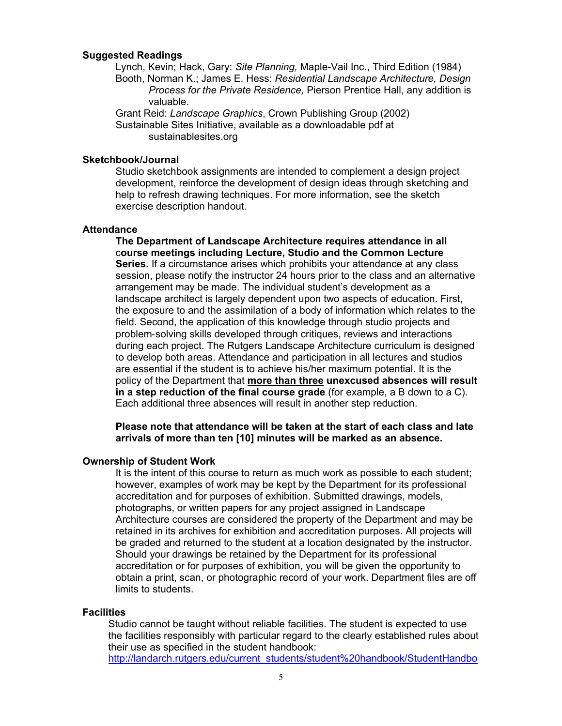## **Suggested Readings**

Lynch, Kevin; Hack, Gary: *Site Planning,* Maple-Vail Inc., Third Edition (1984) Booth, Norman K.; James E. Hess: *Residential Landscape Architecture, Design Process for the Private Residence,* Pierson Prentice Hall, any addition is valuable.

Grant Reid: *Landscape Graphics*, Crown Publishing Group (2002) Sustainable Sites Initiative, available as a downloadable pdf at sustainablesites.org

#### **Sketchbook/Journal**

Studio sketchbook assignments are intended to complement a design project development, reinforce the development of design ideas through sketching and help to refresh drawing techniques. For more information, see the sketch exercise description handout.

#### **Attendance**

**The Department of Landscape Architecture requires attendance in all** c**ourse meetings including Lecture, Studio and the Common Lecture Series.** If a circumstance arises which prohibits your attendance at any class session, please notify the instructor 24 hours prior to the class and an alternative arrangement may be made. The individual student's development as a landscape architect is largely dependent upon two aspects of education. First, the exposure to and the assimilation of a body of information which relates to the field. Second, the application of this knowledge through studio projects and problem‐solving skills developed through critiques, reviews and interactions during each project. The Rutgers Landscape Architecture curriculum is designed to develop both areas. Attendance and participation in all lectures and studios are essential if the student is to achieve his/her maximum potential. It is the policy of the Department that **more than three unexcused absences will result in a step reduction of the final course grade** (for example, a B down to a C). Each additional three absences will result in another step reduction.

**Please note that attendance will be taken at the start of each class and late arrivals of more than ten [10] minutes will be marked as an absence.** 

## **Ownership of Student Work**

It is the intent of this course to return as much work as possible to each student; however, examples of work may be kept by the Department for its professional accreditation and for purposes of exhibition. Submitted drawings, models, photographs, or written papers for any project assigned in Landscape Architecture courses are considered the property of the Department and may be retained in its archives for exhibition and accreditation purposes. All projects will be graded and returned to the student at a location designated by the instructor. Should your drawings be retained by the Department for its professional accreditation or for purposes of exhibition, you will be given the opportunity to obtain a print, scan, or photographic record of your work. Department files are off limits to students.

#### **Facilities**

Studio cannot be taught without reliable facilities. The student is expected to use the facilities responsibly with particular regard to the clearly established rules about their use as specified in the student handbook:

[http://landarch.rutgers.edu/current\\_students/student%20handbook/StudentHandbo](http://landarch.rutgers.edu/current_students/student%20handbook/StudentHandbook_web)